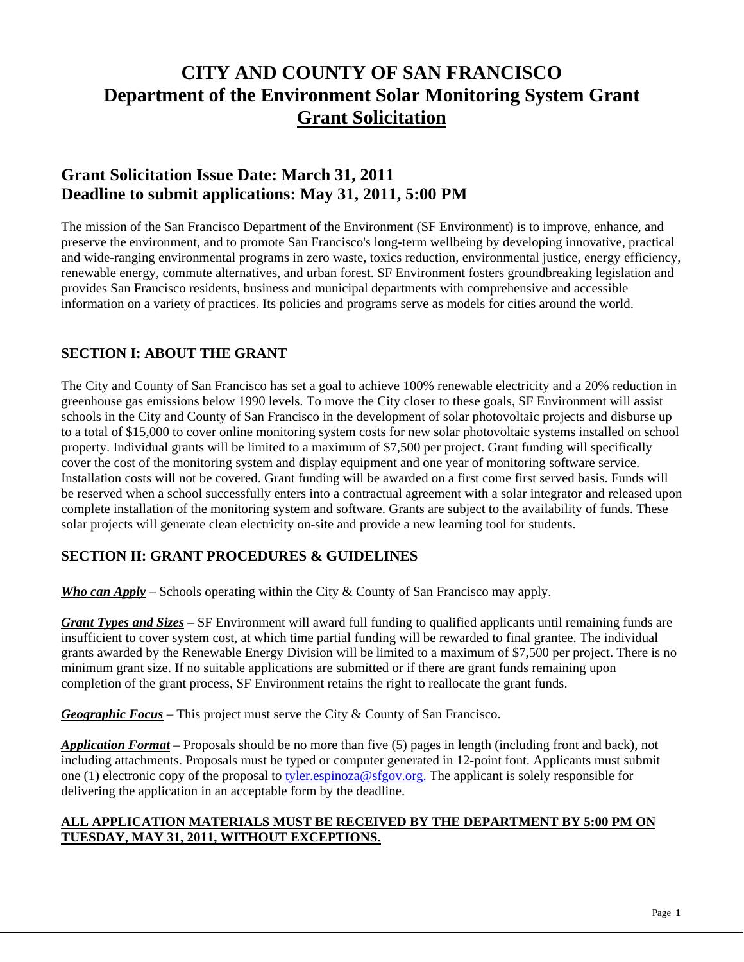# **CITY AND COUNTY OF SAN FRANCISCO Department of the Environment Solar Monitoring System Grant Grant Solicitation**

## **Grant Solicitation Issue Date: March 31, 2011 Deadline to submit applications: May 31, 2011, 5:00 PM**

The mission of the San Francisco Department of the Environment (SF Environment) is to improve, enhance, and preserve the environment, and to promote San Francisco's long-term wellbeing by developing innovative, practical and wide-ranging environmental programs in zero waste, toxics reduction, environmental justice, energy efficiency, renewable energy, commute alternatives, and urban forest. SF Environment fosters groundbreaking legislation and provides San Francisco residents, business and municipal departments with comprehensive and accessible information on a variety of practices. Its policies and programs serve as models for cities around the world.

## **SECTION I: ABOUT THE GRANT**

The City and County of San Francisco has set a goal to achieve 100% renewable electricity and a 20% reduction in greenhouse gas emissions below 1990 levels. To move the City closer to these goals, SF Environment will assist schools in the City and County of San Francisco in the development of solar photovoltaic projects and disburse up to a total of \$15,000 to cover online monitoring system costs for new solar photovoltaic systems installed on school property. Individual grants will be limited to a maximum of \$7,500 per project. Grant funding will specifically cover the cost of the monitoring system and display equipment and one year of monitoring software service. Installation costs will not be covered. Grant funding will be awarded on a first come first served basis. Funds will be reserved when a school successfully enters into a contractual agreement with a solar integrator and released upon complete installation of the monitoring system and software. Grants are subject to the availability of funds. These solar projects will generate clean electricity on-site and provide a new learning tool for students.

### **SECTION II: GRANT PROCEDURES & GUIDELINES**

*Who can Apply* – Schools operating within the City & County of San Francisco may apply.

*Grant Types and Sizes –* SF Environment will award full funding to qualified applicants until remaining funds are insufficient to cover system cost, at which time partial funding will be rewarded to final grantee. The individual grants awarded by the Renewable Energy Division will be limited to a maximum of \$7,500 per project. There is no minimum grant size. If no suitable applications are submitted or if there are grant funds remaining upon completion of the grant process, SF Environment retains the right to reallocate the grant funds.

*Geographic Focus* – This project must serve the City & County of San Francisco.

*Application Format* – Proposals should be no more than five (5) pages in length (including front and back), not including attachments. Proposals must be typed or computer generated in 12-point font. Applicants must submit one (1) electronic copy of the proposal to tyler.espinoza@sfgov.org. The applicant is solely responsible for delivering the application in an acceptable form by the deadline.

#### **ALL APPLICATION MATERIALS MUST BE RECEIVED BY THE DEPARTMENT BY 5:00 PM ON TUESDAY, MAY 31, 2011, WITHOUT EXCEPTIONS.**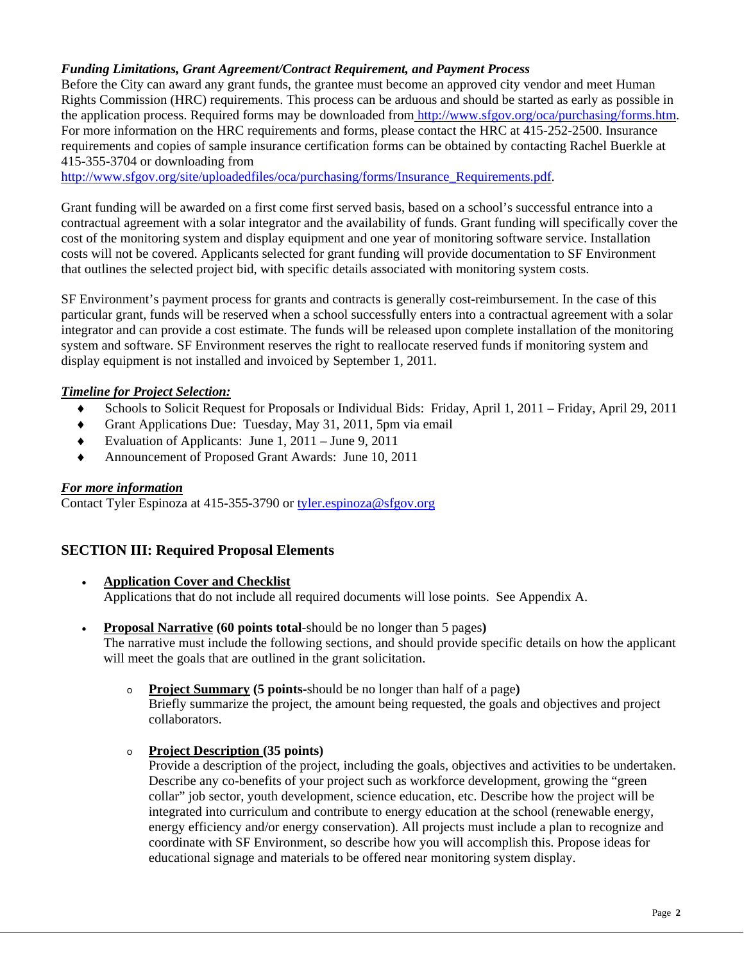#### *Funding Limitations, Grant Agreement/Contract Requirement, and Payment Process*

Before the City can award any grant funds, the grantee must become an approved city vendor and meet Human Rights Commission (HRC) requirements. This process can be arduous and should be started as early as possible in the application process. Required forms may be downloaded from http://www.sfgov.org/oca/purchasing/forms.htm. For more information on the HRC requirements and forms, please contact the HRC at 415-252-2500. Insurance requirements and copies of sample insurance certification forms can be obtained by contacting Rachel Buerkle at 415-355-3704 or downloading from

http://www.sfgov.org/site/uploadedfiles/oca/purchasing/forms/Insurance\_Requirements.pdf.

Grant funding will be awarded on a first come first served basis, based on a school's successful entrance into a contractual agreement with a solar integrator and the availability of funds. Grant funding will specifically cover the cost of the monitoring system and display equipment and one year of monitoring software service. Installation costs will not be covered. Applicants selected for grant funding will provide documentation to SF Environment that outlines the selected project bid, with specific details associated with monitoring system costs.

SF Environment's payment process for grants and contracts is generally cost-reimbursement. In the case of this particular grant, funds will be reserved when a school successfully enters into a contractual agreement with a solar integrator and can provide a cost estimate. The funds will be released upon complete installation of the monitoring system and software. SF Environment reserves the right to reallocate reserved funds if monitoring system and display equipment is not installed and invoiced by September 1, 2011.

#### *Timeline for Project Selection:*

- ♦ Schools to Solicit Request for Proposals or Individual Bids: Friday, April 1, 2011 Friday, April 29, 2011
- ♦ Grant Applications Due: Tuesday, May 31, 2011, 5pm via email
- ♦ Evaluation of Applicants: June 1, 2011 June 9, 2011
- ♦ Announcement of Proposed Grant Awards: June 10, 2011

#### *For more information*

Contact Tyler Espinoza at 415-355-3790 or tyler.espinoza@sfgov.org

#### **SECTION III: Required Proposal Elements**

- **Application Cover and Checklist** Applications that do not include all required documents will lose points. See Appendix A.
- **Proposal Narrative (60 points total**-should be no longer than 5 pages**)**  The narrative must include the following sections, and should provide specific details on how the applicant will meet the goals that are outlined in the grant solicitation.
	- o **Project Summary (5 points-**should be no longer than half of a page**)** Briefly summarize the project, the amount being requested, the goals and objectives and project collaborators.

#### o **Project Description (35 points)**

Provide a description of the project, including the goals, objectives and activities to be undertaken. Describe any co-benefits of your project such as workforce development, growing the "green collar" job sector, youth development, science education, etc. Describe how the project will be integrated into curriculum and contribute to energy education at the school (renewable energy, energy efficiency and/or energy conservation). All projects must include a plan to recognize and coordinate with SF Environment, so describe how you will accomplish this. Propose ideas for educational signage and materials to be offered near monitoring system display.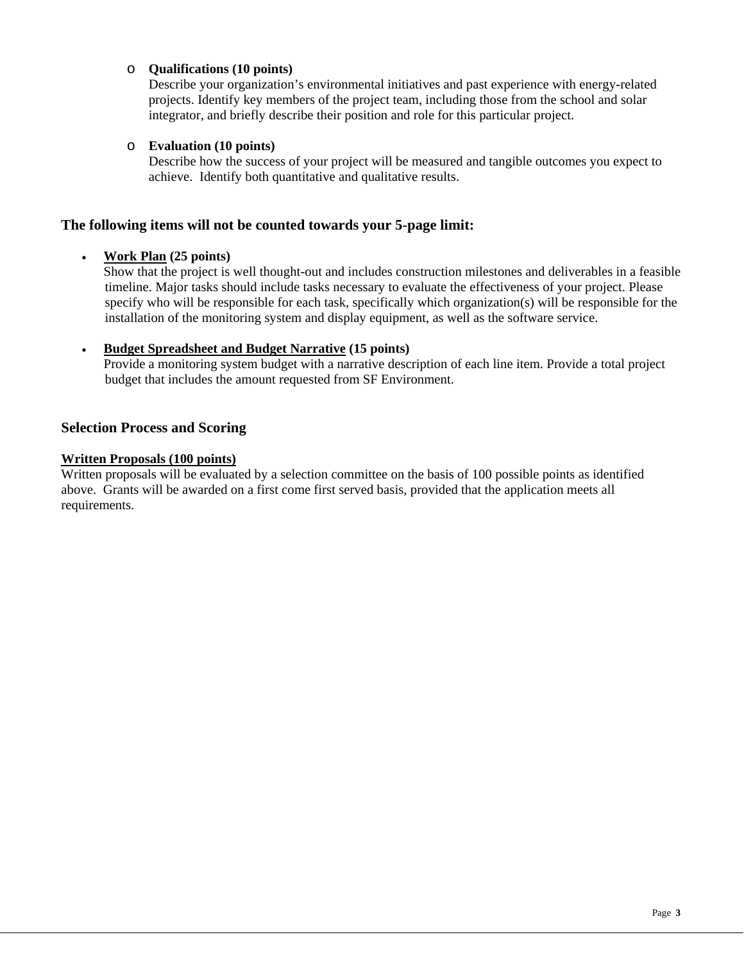#### o **Qualifications (10 points)**

Describe your organization's environmental initiatives and past experience with energy-related projects. Identify key members of the project team, including those from the school and solar integrator, and briefly describe their position and role for this particular project.

#### o **Evaluation (10 points)**

Describe how the success of your project will be measured and tangible outcomes you expect to achieve. Identify both quantitative and qualitative results.

#### **The following items will not be counted towards your 5-page limit:**

#### • **Work Plan (25 points)**

Show that the project is well thought-out and includes construction milestones and deliverables in a feasible timeline. Major tasks should include tasks necessary to evaluate the effectiveness of your project. Please specify who will be responsible for each task, specifically which organization(s) will be responsible for the installation of the monitoring system and display equipment, as well as the software service.

#### • **Budget Spreadsheet and Budget Narrative (15 points)**

Provide a monitoring system budget with a narrative description of each line item. Provide a total project budget that includes the amount requested from SF Environment.

#### **Selection Process and Scoring**

#### **Written Proposals (100 points)**

Written proposals will be evaluated by a selection committee on the basis of 100 possible points as identified above. Grants will be awarded on a first come first served basis, provided that the application meets all requirements.